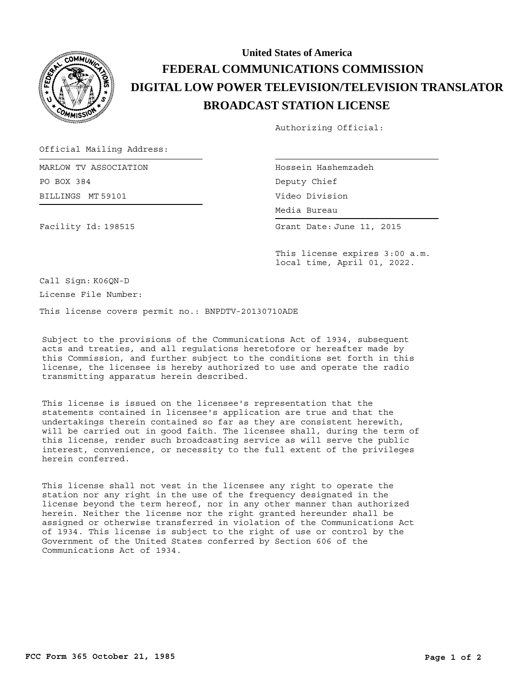

## **BROADCAST STATION LICENSE DIGITAL LOW POWER TELEVISION/TELEVISION TRANSLATOR FEDERAL COMMUNICATIONS COMMISSION United States of America**

Authorizing Official:

Official Mailing Address:

BILLINGS MT 59101 MARLOW TV ASSOCIATION PO BOX 384

Facility Id: 198515

Hossein Hashemzadeh Deputy Chief Video Division

Media Bureau Media Bureau

Grant Date: June 11, 2015

This license expires 3:00 a.m. local time, April 01, 2022.

Call Sign: K06QN-D

License File Number:

This license covers permit no.: BNPDTV-20130710ADE

Subject to the provisions of the Communications Act of 1934, subsequent acts and treaties, and all regulations heretofore or hereafter made by this Commission, and further subject to the conditions set forth in this license, the licensee is hereby authorized to use and operate the radio transmitting apparatus herein described.

This license is issued on the licensee's representation that the statements contained in licensee's application are true and that the undertakings therein contained so far as they are consistent herewith, will be carried out in good faith. The licensee shall, during the term of this license, render such broadcasting service as will serve the public interest, convenience, or necessity to the full extent of the privileges herein conferred.

This license shall not vest in the licensee any right to operate the station nor any right in the use of the frequency designated in the license beyond the term hereof, nor in any other manner than authorized herein. Neither the license nor the right granted hereunder shall be assigned or otherwise transferred in violation of the Communications Act of 1934. This license is subject to the right of use or control by the Government of the United States conferred by Section 606 of the Communications Act of 1934.